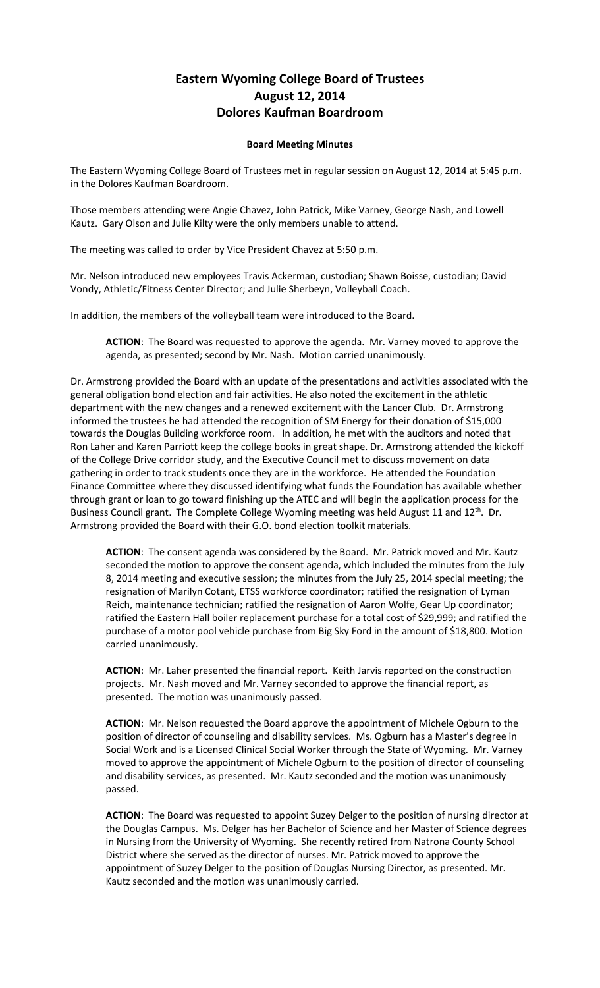## **Eastern Wyoming College Board of Trustees August 12, 2014 Dolores Kaufman Boardroom**

## **Board Meeting Minutes**

The Eastern Wyoming College Board of Trustees met in regular session on August 12, 2014 at 5:45 p.m. in the Dolores Kaufman Boardroom.

Those members attending were Angie Chavez, John Patrick, Mike Varney, George Nash, and Lowell Kautz. Gary Olson and Julie Kilty were the only members unable to attend.

The meeting was called to order by Vice President Chavez at 5:50 p.m.

Mr. Nelson introduced new employees Travis Ackerman, custodian; Shawn Boisse, custodian; David Vondy, Athletic/Fitness Center Director; and Julie Sherbeyn, Volleyball Coach.

In addition, the members of the volleyball team were introduced to the Board.

**ACTION**: The Board was requested to approve the agenda. Mr. Varney moved to approve the agenda, as presented; second by Mr. Nash. Motion carried unanimously.

Dr. Armstrong provided the Board with an update of the presentations and activities associated with the general obligation bond election and fair activities. He also noted the excitement in the athletic department with the new changes and a renewed excitement with the Lancer Club. Dr. Armstrong informed the trustees he had attended the recognition of SM Energy for their donation of \$15,000 towards the Douglas Building workforce room. In addition, he met with the auditors and noted that Ron Laher and Karen Parriott keep the college books in great shape. Dr. Armstrong attended the kickoff of the College Drive corridor study, and the Executive Council met to discuss movement on data gathering in order to track students once they are in the workforce. He attended the Foundation Finance Committee where they discussed identifying what funds the Foundation has available whether through grant or loan to go toward finishing up the ATEC and will begin the application process for the Business Council grant. The Complete College Wyoming meeting was held August 11 and 12<sup>th</sup>. Dr. Armstrong provided the Board with their G.O. bond election toolkit materials.

**ACTION**: The consent agenda was considered by the Board. Mr. Patrick moved and Mr. Kautz seconded the motion to approve the consent agenda, which included the minutes from the July 8, 2014 meeting and executive session; the minutes from the July 25, 2014 special meeting; the resignation of Marilyn Cotant, ETSS workforce coordinator; ratified the resignation of Lyman Reich, maintenance technician; ratified the resignation of Aaron Wolfe, Gear Up coordinator; ratified the Eastern Hall boiler replacement purchase for a total cost of \$29,999; and ratified the purchase of a motor pool vehicle purchase from Big Sky Ford in the amount of \$18,800. Motion carried unanimously.

**ACTION**: Mr. Laher presented the financial report. Keith Jarvis reported on the construction projects. Mr. Nash moved and Mr. Varney seconded to approve the financial report, as presented. The motion was unanimously passed.

**ACTION**: Mr. Nelson requested the Board approve the appointment of Michele Ogburn to the position of director of counseling and disability services. Ms. Ogburn has a Master's degree in Social Work and is a Licensed Clinical Social Worker through the State of Wyoming. Mr. Varney moved to approve the appointment of Michele Ogburn to the position of director of counseling and disability services, as presented. Mr. Kautz seconded and the motion was unanimously passed.

**ACTION**: The Board was requested to appoint Suzey Delger to the position of nursing director at the Douglas Campus. Ms. Delger has her Bachelor of Science and her Master of Science degrees in Nursing from the University of Wyoming. She recently retired from Natrona County School District where she served as the director of nurses. Mr. Patrick moved to approve the appointment of Suzey Delger to the position of Douglas Nursing Director, as presented. Mr. Kautz seconded and the motion was unanimously carried.